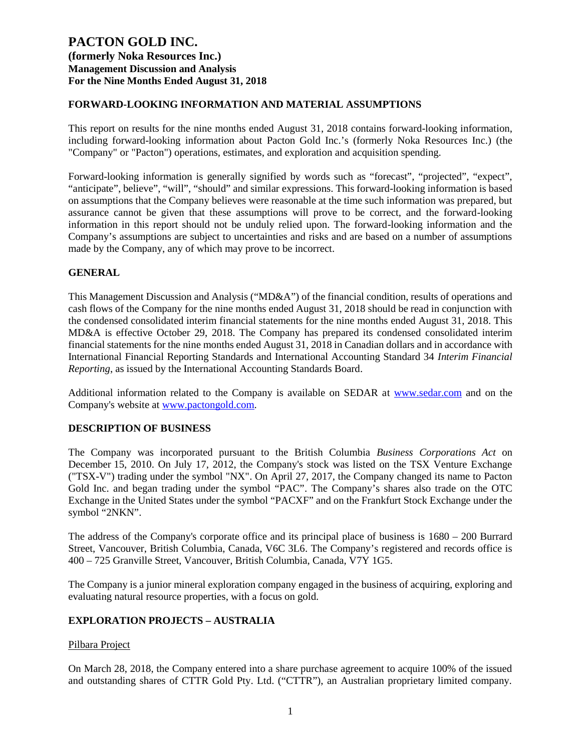### **FORWARD-LOOKING INFORMATION AND MATERIAL ASSUMPTIONS**

This report on results for the nine months ended August 31, 2018 contains forward-looking information, including forward-looking information about Pacton Gold Inc.'s (formerly Noka Resources Inc.) (the "Company" or "Pacton") operations, estimates, and exploration and acquisition spending.

Forward-looking information is generally signified by words such as "forecast", "projected", "expect", "anticipate", believe", "will", "should" and similar expressions. This forward-looking information is based on assumptions that the Company believes were reasonable at the time such information was prepared, but assurance cannot be given that these assumptions will prove to be correct, and the forward-looking information in this report should not be unduly relied upon. The forward-looking information and the Company's assumptions are subject to uncertainties and risks and are based on a number of assumptions made by the Company, any of which may prove to be incorrect.

## **GENERAL**

This Management Discussion and Analysis ("MD&A") of the financial condition, results of operations and cash flows of the Company for the nine months ended August 31, 2018 should be read in conjunction with the condensed consolidated interim financial statements for the nine months ended August 31, 2018. This MD&A is effective October 29, 2018. The Company has prepared its condensed consolidated interim financial statements for the nine months ended August 31, 2018 in Canadian dollars and in accordance with International Financial Reporting Standards and International Accounting Standard 34 *Interim Financial Reporting*, as issued by the International Accounting Standards Board.

Additional information related to the Company is available on SEDAR at [www.sedar.com](http://www.sedar.com/) and on the Company's website at [www.pactongold.com.](http://www.pactongold.com/)

### **DESCRIPTION OF BUSINESS**

The Company was incorporated pursuant to the British Columbia *Business Corporations Act* on December 15, 2010. On July 17, 2012, the Company's stock was listed on the TSX Venture Exchange ("TSX-V") trading under the symbol "NX". On April 27, 2017, the Company changed its name to Pacton Gold Inc. and began trading under the symbol "PAC". The Company's shares also trade on the OTC Exchange in the United States under the symbol "PACXF" and on the Frankfurt Stock Exchange under the symbol "2NKN".

The address of the Company's corporate office and its principal place of business is 1680 – 200 Burrard Street, Vancouver, British Columbia, Canada, V6C 3L6. The Company's registered and records office is 400 – 725 Granville Street, Vancouver, British Columbia, Canada, V7Y 1G5.

The Company is a junior mineral exploration company engaged in the business of acquiring, exploring and evaluating natural resource properties, with a focus on gold.

## **EXPLORATION PROJECTS – AUSTRALIA**

### Pilbara Project

On March 28, 2018, the Company entered into a share purchase agreement to acquire 100% of the issued and outstanding shares of CTTR Gold Pty. Ltd. ("CTTR"), an Australian proprietary limited company.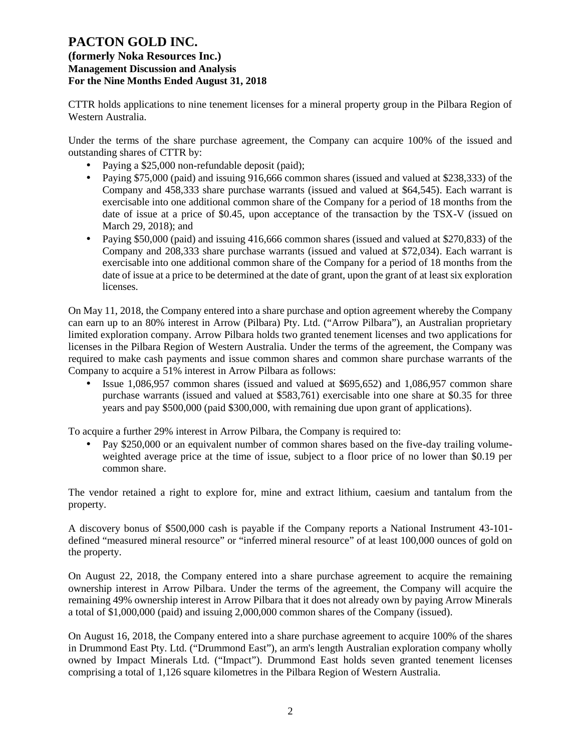## **(formerly Noka Resources Inc.) Management Discussion and Analysis For the Nine Months Ended August 31, 2018**

CTTR holds applications to nine tenement licenses for a mineral property group in the Pilbara Region of Western Australia.

Under the terms of the share purchase agreement, the Company can acquire 100% of the issued and outstanding shares of CTTR by:

- Paying a \$25,000 non-refundable deposit (paid);
- Paying \$75,000 (paid) and issuing 916,666 common shares (issued and valued at \$238,333) of the Company and 458,333 share purchase warrants (issued and valued at \$64,545). Each warrant is exercisable into one additional common share of the Company for a period of 18 months from the date of issue at a price of \$0.45, upon acceptance of the transaction by the TSX-V (issued on March 29, 2018); and
- Paying \$50,000 (paid) and issuing 416,666 common shares (issued and valued at \$270,833) of the Company and 208,333 share purchase warrants (issued and valued at \$72,034). Each warrant is exercisable into one additional common share of the Company for a period of 18 months from the date of issue at a price to be determined at the date of grant, upon the grant of at least six exploration licenses.

On May 11, 2018, the Company entered into a share purchase and option agreement whereby the Company can earn up to an 80% interest in Arrow (Pilbara) Pty. Ltd. ("Arrow Pilbara"), an Australian proprietary limited exploration company. Arrow Pilbara holds two granted tenement licenses and two applications for licenses in the Pilbara Region of Western Australia. Under the terms of the agreement, the Company was required to make cash payments and issue common shares and common share purchase warrants of the Company to acquire a 51% interest in Arrow Pilbara as follows:

• Issue 1,086,957 common shares (issued and valued at \$695,652) and 1,086,957 common share purchase warrants (issued and valued at \$583,761) exercisable into one share at \$0.35 for three years and pay \$500,000 (paid \$300,000, with remaining due upon grant of applications).

To acquire a further 29% interest in Arrow Pilbara, the Company is required to:

• Pay \$250,000 or an equivalent number of common shares based on the five-day trailing volumeweighted average price at the time of issue, subject to a floor price of no lower than \$0.19 per common share.

The vendor retained a right to explore for, mine and extract lithium, caesium and tantalum from the property.

A discovery bonus of \$500,000 cash is payable if the Company reports a National Instrument 43-101 defined "measured mineral resource" or "inferred mineral resource" of at least 100,000 ounces of gold on the property.

On August 22, 2018, the Company entered into a share purchase agreement to acquire the remaining ownership interest in Arrow Pilbara. Under the terms of the agreement, the Company will acquire the remaining 49% ownership interest in Arrow Pilbara that it does not already own by paying Arrow Minerals a total of \$1,000,000 (paid) and issuing 2,000,000 common shares of the Company (issued).

On August 16, 2018, the Company entered into a share purchase agreement to acquire 100% of the shares in Drummond East Pty. Ltd. ("Drummond East"), an arm's length Australian exploration company wholly owned by Impact Minerals Ltd. ("Impact"). Drummond East holds seven granted tenement licenses comprising a total of 1,126 square kilometres in the Pilbara Region of Western Australia.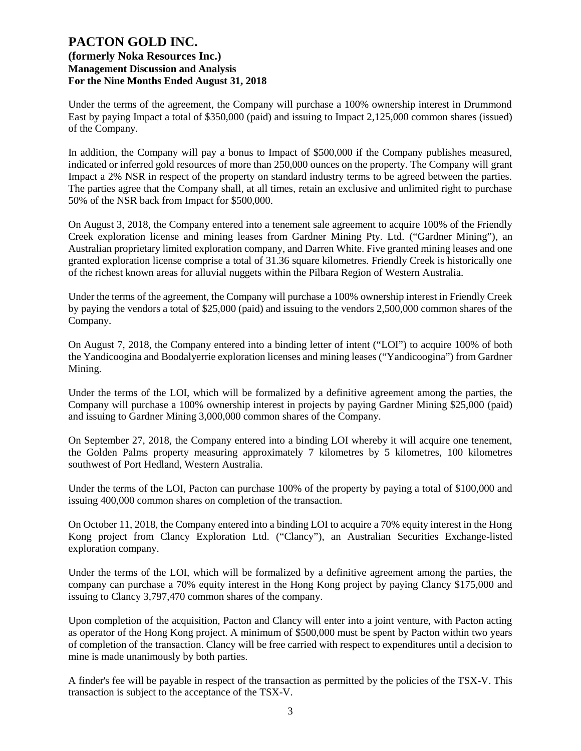Under the terms of the agreement, the Company will purchase a 100% ownership interest in Drummond East by paying Impact a total of \$350,000 (paid) and issuing to Impact 2,125,000 common shares (issued) of the Company.

In addition, the Company will pay a bonus to Impact of \$500,000 if the Company publishes measured, indicated or inferred gold resources of more than 250,000 ounces on the property. The Company will grant Impact a 2% NSR in respect of the property on standard industry terms to be agreed between the parties. The parties agree that the Company shall, at all times, retain an exclusive and unlimited right to purchase 50% of the NSR back from Impact for \$500,000.

On August 3, 2018, the Company entered into a tenement sale agreement to acquire 100% of the Friendly Creek exploration license and mining leases from Gardner Mining Pty. Ltd. ("Gardner Mining"), an Australian proprietary limited exploration company, and Darren White. Five granted mining leases and one granted exploration license comprise a total of 31.36 square kilometres. Friendly Creek is historically one of the richest known areas for alluvial nuggets within the Pilbara Region of Western Australia.

Under the terms of the agreement, the Company will purchase a 100% ownership interest in Friendly Creek by paying the vendors a total of \$25,000 (paid) and issuing to the vendors 2,500,000 common shares of the Company.

On August 7, 2018, the Company entered into a binding letter of intent ("LOI") to acquire 100% of both the Yandicoogina and Boodalyerrie exploration licenses and mining leases ("Yandicoogina") from Gardner Mining.

Under the terms of the LOI, which will be formalized by a definitive agreement among the parties, the Company will purchase a 100% ownership interest in projects by paying Gardner Mining \$25,000 (paid) and issuing to Gardner Mining 3,000,000 common shares of the Company.

On September 27, 2018, the Company entered into a binding LOI whereby it will acquire one tenement, the Golden Palms property measuring approximately 7 kilometres by 5 kilometres, 100 kilometres southwest of Port Hedland, Western Australia.

Under the terms of the LOI, Pacton can purchase 100% of the property by paying a total of \$100,000 and issuing 400,000 common shares on completion of the transaction.

On October 11, 2018, the Company entered into a binding LOI to acquire a 70% equity interest in the Hong Kong project from Clancy Exploration Ltd. ("Clancy"), an Australian Securities Exchange-listed exploration company.

Under the terms of the LOI, which will be formalized by a definitive agreement among the parties, the company can purchase a 70% equity interest in the Hong Kong project by paying Clancy \$175,000 and issuing to Clancy 3,797,470 common shares of the company.

Upon completion of the acquisition, Pacton and Clancy will enter into a joint venture, with Pacton acting as operator of the Hong Kong project. A minimum of \$500,000 must be spent by Pacton within two years of completion of the transaction. Clancy will be free carried with respect to expenditures until a decision to mine is made unanimously by both parties.

A finder's fee will be payable in respect of the transaction as permitted by the policies of the TSX-V. This transaction is subject to the acceptance of the TSX-V.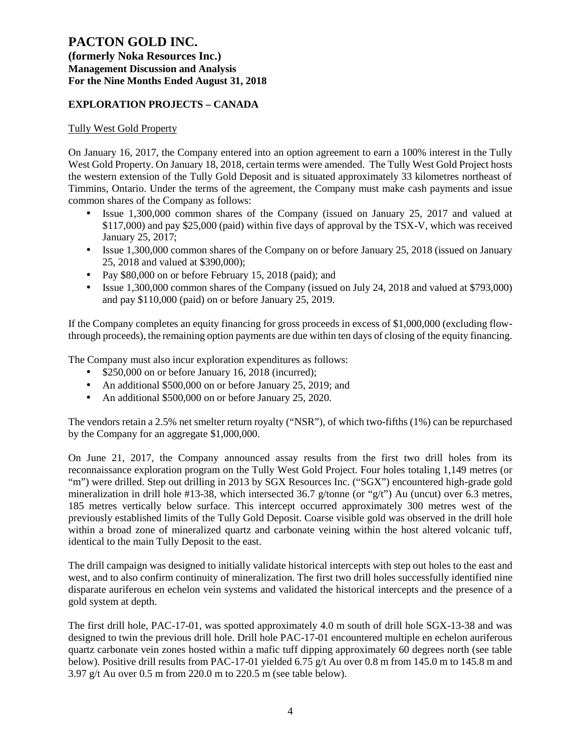### **(formerly Noka Resources Inc.) Management Discussion and Analysis For the Nine Months Ended August 31, 2018**

### **EXPLORATION PROJECTS – CANADA**

### Tully West Gold Property

On January 16, 2017, the Company entered into an option agreement to earn a 100% interest in the Tully West Gold Property. On January 18, 2018, certain terms were amended. The Tully West Gold Project hosts the western extension of the Tully Gold Deposit and is situated approximately 33 kilometres northeast of Timmins, Ontario. Under the terms of the agreement, the Company must make cash payments and issue common shares of the Company as follows:

- Issue 1,300,000 common shares of the Company (issued on January 25, 2017 and valued at \$117,000) and pay \$25,000 (paid) within five days of approval by the TSX-V, which was received January 25, 2017;
- Issue 1,300,000 common shares of the Company on or before January 25, 2018 (issued on January 25, 2018 and valued at \$390,000);
- Pay \$80,000 on or before February 15, 2018 (paid); and
- Issue 1,300,000 common shares of the Company (issued on July 24, 2018 and valued at \$793,000) and pay \$110,000 (paid) on or before January 25, 2019.

If the Company completes an equity financing for gross proceeds in excess of \$1,000,000 (excluding flowthrough proceeds), the remaining option payments are due within ten days of closing of the equity financing.

The Company must also incur exploration expenditures as follows:

- \$250,000 on or before January 16, 2018 (incurred);
- An additional \$500,000 on or before January 25, 2019; and
- An additional \$500,000 on or before January 25, 2020.

The vendors retain a 2.5% net smelter return royalty ("NSR"), of which two-fifths (1%) can be repurchased by the Company for an aggregate \$1,000,000.

On June 21, 2017, the Company announced assay results from the first two drill holes from its reconnaissance exploration program on the Tully West Gold Project. Four holes totaling 1,149 metres (or "m") were drilled. Step out drilling in 2013 by SGX Resources Inc. ("SGX") encountered high-grade gold mineralization in drill hole #13-38, which intersected 36.7 g/tonne (or "g/t") Au (uncut) over 6.3 metres, 185 metres vertically below surface. This intercept occurred approximately 300 metres west of the previously established limits of the Tully Gold Deposit. Coarse visible gold was observed in the drill hole within a broad zone of mineralized quartz and carbonate veining within the host altered volcanic tuff, identical to the main Tully Deposit to the east.

The drill campaign was designed to initially validate historical intercepts with step out holes to the east and west, and to also confirm continuity of mineralization. The first two drill holes successfully identified nine disparate auriferous en echelon vein systems and validated the historical intercepts and the presence of a gold system at depth.

The first drill hole, PAC-17-01, was spotted approximately 4.0 m south of drill hole SGX-13-38 and was designed to twin the previous drill hole. Drill hole PAC-17-01 encountered multiple en echelon auriferous quartz carbonate vein zones hosted within a mafic tuff dipping approximately 60 degrees north (see table below). Positive drill results from PAC-17-01 yielded 6.75 g/t Au over 0.8 m from 145.0 m to 145.8 m and 3.97 g/t Au over 0.5 m from 220.0 m to 220.5 m (see table below).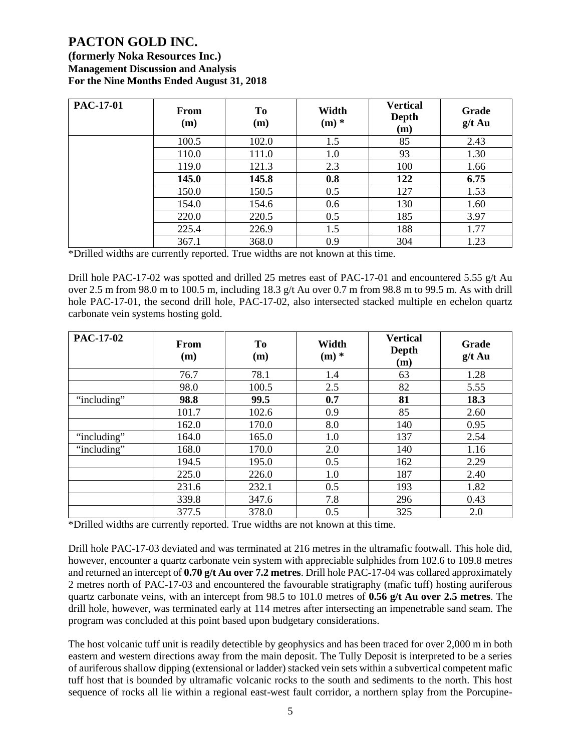**(formerly Noka Resources Inc.) Management Discussion and Analysis For the Nine Months Ended August 31, 2018**

| <b>PAC-17-01</b> | <b>From</b><br>(m) | Tо<br>(m) | Width<br>$(m)$ * | <b>Vertical</b><br>Depth<br>(m) | Grade<br>$g/t$ Au |
|------------------|--------------------|-----------|------------------|---------------------------------|-------------------|
|                  | 100.5              | 102.0     | 1.5              | 85                              | 2.43              |
|                  | 110.0              | 111.0     | 1.0              | 93                              | 1.30              |
|                  | 119.0              | 121.3     | 2.3              | 100                             | 1.66              |
|                  | 145.0              | 145.8     | 0.8              | 122                             | 6.75              |
|                  | 150.0              | 150.5     | 0.5              | 127                             | 1.53              |
|                  | 154.0              | 154.6     | 0.6              | 130                             | 1.60              |
|                  | 220.0              | 220.5     | 0.5              | 185                             | 3.97              |
|                  | 225.4              | 226.9     | 1.5              | 188                             | 1.77              |
|                  | 367.1              | 368.0     | 0.9              | 304                             | 1.23              |

\*Drilled widths are currently reported. True widths are not known at this time.

Drill hole PAC-17-02 was spotted and drilled 25 metres east of PAC-17-01 and encountered 5.55 g/t Au over 2.5 m from 98.0 m to 100.5 m, including 18.3  $g/t$  Au over 0.7 m from 98.8 m to 99.5 m. As with drill hole PAC-17-01, the second drill hole, PAC-17-02, also intersected stacked multiple en echelon quartz carbonate vein systems hosting gold.

| <b>PAC-17-02</b> | From<br>(m) | <b>To</b><br>(m) | Width<br>$(m)$ * | <b>Vertical</b><br><b>Depth</b><br>(m) | Grade<br>$g/t$ Au |
|------------------|-------------|------------------|------------------|----------------------------------------|-------------------|
|                  | 76.7        | 78.1             | 1.4              | 63                                     | 1.28              |
|                  | 98.0        | 100.5            | 2.5              | 82                                     | 5.55              |
| "including"      | 98.8        | 99.5             | 0.7              | 81                                     | 18.3              |
|                  | 101.7       | 102.6            | 0.9              | 85                                     | 2.60              |
|                  | 162.0       | 170.0            | 8.0              | 140                                    | 0.95              |
| "including"      | 164.0       | 165.0            | 1.0              | 137                                    | 2.54              |
| "including"      | 168.0       | 170.0            | 2.0              | 140                                    | 1.16              |
|                  | 194.5       | 195.0            | 0.5              | 162                                    | 2.29              |
|                  | 225.0       | 226.0            | 1.0              | 187                                    | 2.40              |
|                  | 231.6       | 232.1            | 0.5              | 193                                    | 1.82              |
|                  | 339.8       | 347.6            | 7.8              | 296                                    | 0.43              |
|                  | 377.5       | 378.0            | 0.5              | 325                                    | 2.0               |

\*Drilled widths are currently reported. True widths are not known at this time.

Drill hole PAC-17-03 deviated and was terminated at 216 metres in the ultramafic footwall. This hole did, however, encounter a quartz carbonate vein system with appreciable sulphides from 102.6 to 109.8 metres and returned an intercept of **0.70 g/t Au over 7.2 metres**. Drill hole PAC-17-04 was collared approximately 2 metres north of PAC-17-03 and encountered the favourable stratigraphy (mafic tuff) hosting auriferous quartz carbonate veins, with an intercept from 98.5 to 101.0 metres of **0.56 g/t Au over 2.5 metres**. The drill hole, however, was terminated early at 114 metres after intersecting an impenetrable sand seam. The program was concluded at this point based upon budgetary considerations.

The host volcanic tuff unit is readily detectible by geophysics and has been traced for over 2,000 m in both eastern and western directions away from the main deposit. The Tully Deposit is interpreted to be a series of auriferous shallow dipping (extensional or ladder) stacked vein sets within a subvertical competent mafic tuff host that is bounded by ultramafic volcanic rocks to the south and sediments to the north. This host sequence of rocks all lie within a regional east-west fault corridor, a northern splay from the Porcupine-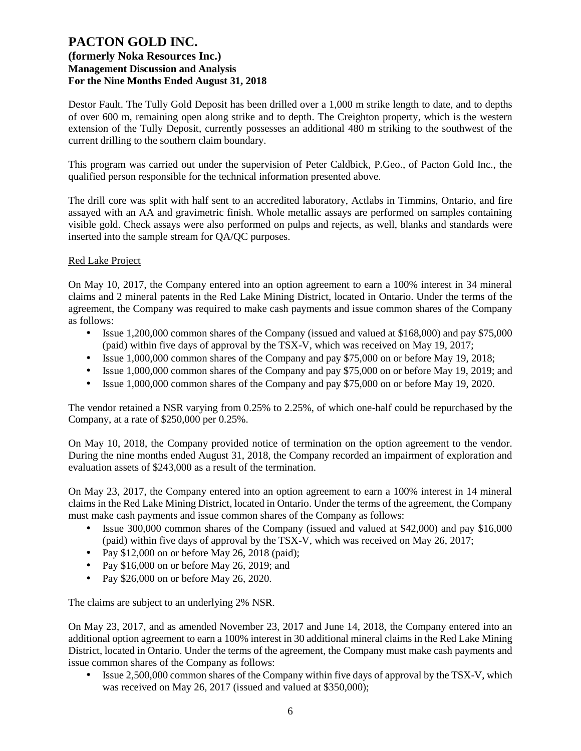Destor Fault. The Tully Gold Deposit has been drilled over a 1,000 m strike length to date, and to depths of over 600 m, remaining open along strike and to depth. The Creighton property, which is the western extension of the Tully Deposit, currently possesses an additional 480 m striking to the southwest of the current drilling to the southern claim boundary.

This program was carried out under the supervision of Peter Caldbick, P.Geo., of Pacton Gold Inc., the qualified person responsible for the technical information presented above.

The drill core was split with half sent to an accredited laboratory, Actlabs in Timmins, Ontario, and fire assayed with an AA and gravimetric finish. Whole metallic assays are performed on samples containing visible gold. Check assays were also performed on pulps and rejects, as well, blanks and standards were inserted into the sample stream for QA/QC purposes.

### Red Lake Project

On May 10, 2017, the Company entered into an option agreement to earn a 100% interest in 34 mineral claims and 2 mineral patents in the Red Lake Mining District, located in Ontario. Under the terms of the agreement, the Company was required to make cash payments and issue common shares of the Company as follows:

- Issue 1,200,000 common shares of the Company (issued and valued at \$168,000) and pay \$75,000 (paid) within five days of approval by the TSX-V, which was received on May 19, 2017;
- Issue 1,000,000 common shares of the Company and pay \$75,000 on or before May 19, 2018;
- Issue 1,000,000 common shares of the Company and pay \$75,000 on or before May 19, 2019; and
- Issue 1,000,000 common shares of the Company and pay \$75,000 on or before May 19, 2020.

The vendor retained a NSR varying from 0.25% to 2.25%, of which one-half could be repurchased by the Company, at a rate of \$250,000 per 0.25%.

On May 10, 2018, the Company provided notice of termination on the option agreement to the vendor. During the nine months ended August 31, 2018, the Company recorded an impairment of exploration and evaluation assets of \$243,000 as a result of the termination.

On May 23, 2017, the Company entered into an option agreement to earn a 100% interest in 14 mineral claims in the Red Lake Mining District, located in Ontario. Under the terms of the agreement, the Company must make cash payments and issue common shares of the Company as follows:

- Issue 300,000 common shares of the Company (issued and valued at \$42,000) and pay \$16,000 (paid) within five days of approval by the TSX-V, which was received on May 26, 2017;
- Pay  $$12,000$  on or before May 26, 2018 (paid);
- Pay \$16,000 on or before May 26, 2019; and
- Pay \$26,000 on or before May 26, 2020.

The claims are subject to an underlying 2% NSR.

On May 23, 2017, and as amended November 23, 2017 and June 14, 2018, the Company entered into an additional option agreement to earn a 100% interest in 30 additional mineral claims in the Red Lake Mining District, located in Ontario. Under the terms of the agreement, the Company must make cash payments and issue common shares of the Company as follows:

• Issue 2,500,000 common shares of the Company within five days of approval by the TSX-V, which was received on May 26, 2017 (issued and valued at \$350,000);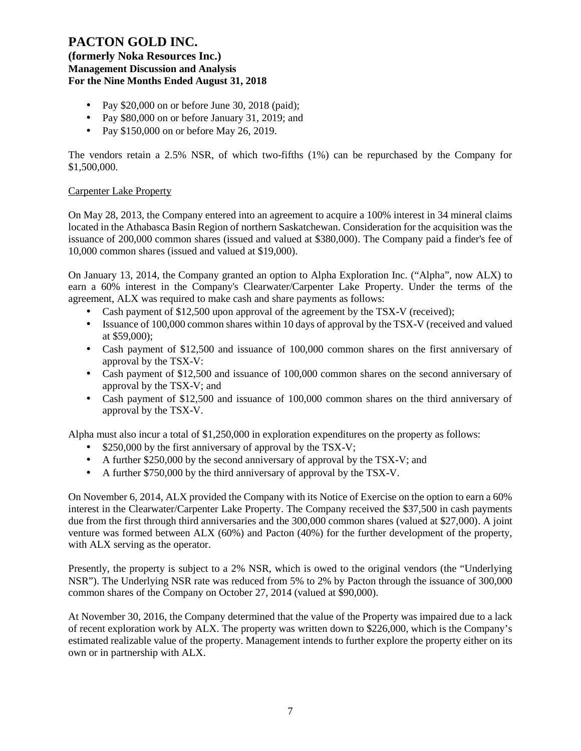## **(formerly Noka Resources Inc.) Management Discussion and Analysis For the Nine Months Ended August 31, 2018**

- Pay \$20,000 on or before June 30, 2018 (paid);
- Pay \$80,000 on or before January 31, 2019; and
- Pay \$150,000 on or before May 26, 2019.

The vendors retain a 2.5% NSR, of which two-fifths (1%) can be repurchased by the Company for \$1,500,000.

## Carpenter Lake Property

On May 28, 2013, the Company entered into an agreement to acquire a 100% interest in 34 mineral claims located in the Athabasca Basin Region of northern Saskatchewan. Consideration for the acquisition was the issuance of 200,000 common shares (issued and valued at \$380,000). The Company paid a finder's fee of 10,000 common shares (issued and valued at \$19,000).

On January 13, 2014, the Company granted an option to Alpha Exploration Inc. ("Alpha", now ALX) to earn a 60% interest in the Company's Clearwater/Carpenter Lake Property. Under the terms of the agreement, ALX was required to make cash and share payments as follows:

- Cash payment of \$12,500 upon approval of the agreement by the TSX-V (received);
- Issuance of 100,000 common shares within 10 days of approval by the TSX-V (received and valued at \$59,000);
- Cash payment of \$12,500 and issuance of 100,000 common shares on the first anniversary of approval by the TSX-V:
- Cash payment of \$12,500 and issuance of 100,000 common shares on the second anniversary of approval by the TSX-V; and
- Cash payment of \$12,500 and issuance of 100,000 common shares on the third anniversary of approval by the TSX-V.

Alpha must also incur a total of \$1,250,000 in exploration expenditures on the property as follows:

- \$250,000 by the first anniversary of approval by the TSX-V;
- A further \$250,000 by the second anniversary of approval by the TSX-V; and
- A further \$750,000 by the third anniversary of approval by the TSX-V.

On November 6, 2014, ALX provided the Company with its Notice of Exercise on the option to earn a 60% interest in the Clearwater/Carpenter Lake Property. The Company received the \$37,500 in cash payments due from the first through third anniversaries and the 300,000 common shares (valued at \$27,000). A joint venture was formed between ALX (60%) and Pacton (40%) for the further development of the property, with ALX serving as the operator.

Presently, the property is subject to a 2% NSR, which is owed to the original vendors (the "Underlying NSR"). The Underlying NSR rate was reduced from 5% to 2% by Pacton through the issuance of 300,000 common shares of the Company on October 27, 2014 (valued at \$90,000).

At November 30, 2016, the Company determined that the value of the Property was impaired due to a lack of recent exploration work by ALX. The property was written down to \$226,000, which is the Company's estimated realizable value of the property. Management intends to further explore the property either on its own or in partnership with ALX.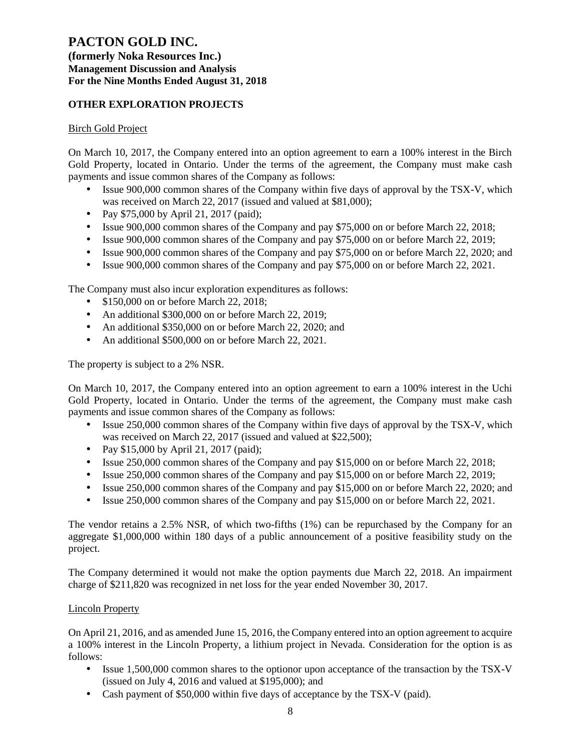### **(formerly Noka Resources Inc.) Management Discussion and Analysis For the Nine Months Ended August 31, 2018**

## **OTHER EXPLORATION PROJECTS**

### Birch Gold Project

On March 10, 2017, the Company entered into an option agreement to earn a 100% interest in the Birch Gold Property, located in Ontario. Under the terms of the agreement, the Company must make cash payments and issue common shares of the Company as follows:

- Issue 900,000 common shares of the Company within five days of approval by the TSX-V, which was received on March 22, 2017 (issued and valued at \$81,000);
- Pay \$75,000 by April 21, 2017 (paid);
- Issue 900,000 common shares of the Company and pay \$75,000 on or before March 22, 2018;
- Issue 900,000 common shares of the Company and pay \$75,000 on or before March 22, 2019;
- Issue 900,000 common shares of the Company and pay \$75,000 on or before March 22, 2020; and
- Issue 900,000 common shares of the Company and pay \$75,000 on or before March 22, 2021.

The Company must also incur exploration expenditures as follows:

- \$150,000 on or before March 22, 2018;
- An additional \$300,000 on or before March 22, 2019;
- An additional \$350,000 on or before March 22, 2020; and
- An additional \$500,000 on or before March 22, 2021.

The property is subject to a 2% NSR.

On March 10, 2017, the Company entered into an option agreement to earn a 100% interest in the Uchi Gold Property, located in Ontario. Under the terms of the agreement, the Company must make cash payments and issue common shares of the Company as follows:

- Issue 250,000 common shares of the Company within five days of approval by the TSX-V, which was received on March 22, 2017 (issued and valued at \$22,500);
- Pay \$15,000 by April 21, 2017 (paid);
- Issue 250,000 common shares of the Company and pay \$15,000 on or before March 22, 2018;
- Issue 250,000 common shares of the Company and pay \$15,000 on or before March 22, 2019;
- Issue 250,000 common shares of the Company and pay \$15,000 on or before March 22, 2020; and
- Issue 250,000 common shares of the Company and pay \$15,000 on or before March 22, 2021.

The vendor retains a 2.5% NSR, of which two-fifths (1%) can be repurchased by the Company for an aggregate \$1,000,000 within 180 days of a public announcement of a positive feasibility study on the project.

The Company determined it would not make the option payments due March 22, 2018. An impairment charge of \$211,820 was recognized in net loss for the year ended November 30, 2017.

### Lincoln Property

On April 21, 2016, and as amended June 15, 2016, the Company entered into an option agreement to acquire a 100% interest in the Lincoln Property, a lithium project in Nevada. Consideration for the option is as follows:

- Issue 1,500,000 common shares to the optionor upon acceptance of the transaction by the TSX-V (issued on July 4, 2016 and valued at \$195,000); and
- Cash payment of \$50,000 within five days of acceptance by the TSX-V (paid).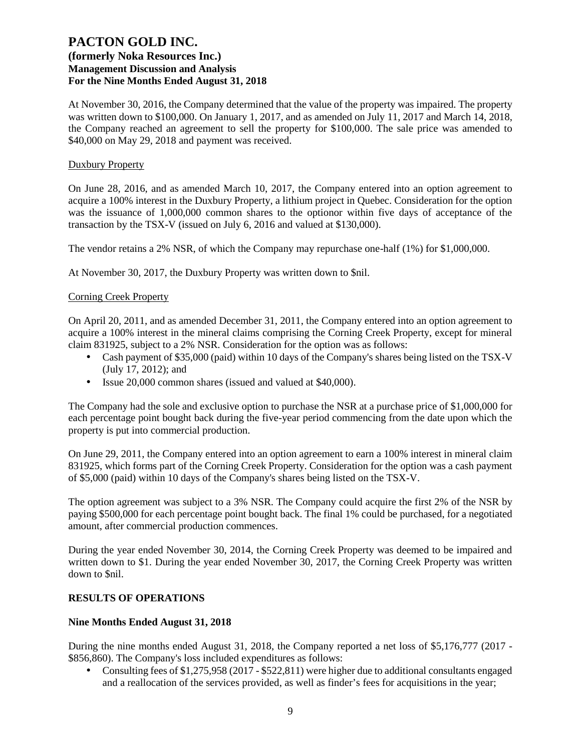At November 30, 2016, the Company determined that the value of the property was impaired. The property was written down to \$100,000. On January 1, 2017, and as amended on July 11, 2017 and March 14, 2018, the Company reached an agreement to sell the property for \$100,000. The sale price was amended to \$40,000 on May 29, 2018 and payment was received.

#### Duxbury Property

On June 28, 2016, and as amended March 10, 2017, the Company entered into an option agreement to acquire a 100% interest in the Duxbury Property, a lithium project in Quebec. Consideration for the option was the issuance of 1,000,000 common shares to the optionor within five days of acceptance of the transaction by the TSX-V (issued on July 6, 2016 and valued at \$130,000).

The vendor retains a 2% NSR, of which the Company may repurchase one-half (1%) for \$1,000,000.

At November 30, 2017, the Duxbury Property was written down to \$nil.

### Corning Creek Property

On April 20, 2011, and as amended December 31, 2011, the Company entered into an option agreement to acquire a 100% interest in the mineral claims comprising the Corning Creek Property, except for mineral claim 831925, subject to a 2% NSR. Consideration for the option was as follows:

- Cash payment of \$35,000 (paid) within 10 days of the Company's shares being listed on the TSX-V (July 17, 2012); and
- Issue 20,000 common shares (issued and valued at \$40,000).

The Company had the sole and exclusive option to purchase the NSR at a purchase price of \$1,000,000 for each percentage point bought back during the five-year period commencing from the date upon which the property is put into commercial production.

On June 29, 2011, the Company entered into an option agreement to earn a 100% interest in mineral claim 831925, which forms part of the Corning Creek Property. Consideration for the option was a cash payment of \$5,000 (paid) within 10 days of the Company's shares being listed on the TSX-V.

The option agreement was subject to a 3% NSR. The Company could acquire the first 2% of the NSR by paying \$500,000 for each percentage point bought back. The final 1% could be purchased, for a negotiated amount, after commercial production commences.

During the year ended November 30, 2014, the Corning Creek Property was deemed to be impaired and written down to \$1. During the year ended November 30, 2017, the Corning Creek Property was written down to \$nil.

### **RESULTS OF OPERATIONS**

### **Nine Months Ended August 31, 2018**

During the nine months ended August 31, 2018, the Company reported a net loss of \$5,176,777 (2017 - \$856,860). The Company's loss included expenditures as follows:

• Consulting fees of \$1,275,958 (2017 - \$522,811) were higher due to additional consultants engaged and a reallocation of the services provided, as well as finder's fees for acquisitions in the year;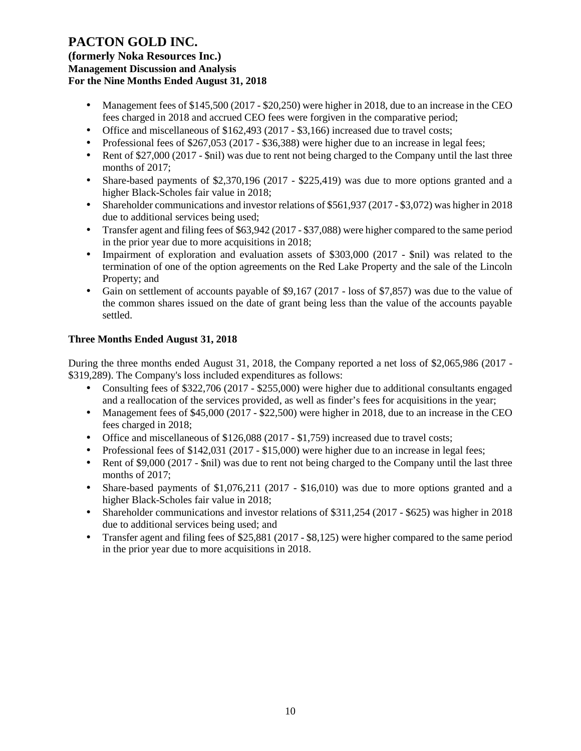**(formerly Noka Resources Inc.) Management Discussion and Analysis For the Nine Months Ended August 31, 2018**

- Management fees of \$145,500 (2017 \$20,250) were higher in 2018, due to an increase in the CEO fees charged in 2018 and accrued CEO fees were forgiven in the comparative period;
- Office and miscellaneous of \$162,493 (2017 \$3,166) increased due to travel costs;
- Professional fees of \$267,053 (2017 \$36,388) were higher due to an increase in legal fees;
- Rent of \$27,000 (2017 \$nil) was due to rent not being charged to the Company until the last three months of 2017;
- Share-based payments of \$2,370,196 (2017 \$225,419) was due to more options granted and a higher Black-Scholes fair value in 2018;
- Shareholder communications and investor relations of \$561,937 (2017 \$3,072) was higher in 2018 due to additional services being used;
- Transfer agent and filing fees of \$63,942 (2017 \$37,088) were higher compared to the same period in the prior year due to more acquisitions in 2018;
- Impairment of exploration and evaluation assets of \$303,000 (2017 \$nil) was related to the termination of one of the option agreements on the Red Lake Property and the sale of the Lincoln Property; and
- Gain on settlement of accounts payable of \$9,167 (2017 loss of \$7,857) was due to the value of the common shares issued on the date of grant being less than the value of the accounts payable settled.

## **Three Months Ended August 31, 2018**

During the three months ended August 31, 2018, the Company reported a net loss of \$2,065,986 (2017 - \$319,289). The Company's loss included expenditures as follows:

- Consulting fees of \$322,706 (2017 \$255,000) were higher due to additional consultants engaged and a reallocation of the services provided, as well as finder's fees for acquisitions in the year;
- Management fees of \$45,000 (2017 \$22,500) were higher in 2018, due to an increase in the CEO fees charged in 2018;
- Office and miscellaneous of \$126,088 (2017 \$1,759) increased due to travel costs;
- Professional fees of \$142,031 (2017 \$15,000) were higher due to an increase in legal fees;
- Rent of \$9,000 (2017 \$nil) was due to rent not being charged to the Company until the last three months of 2017;
- Share-based payments of \$1,076,211 (2017 \$16,010) was due to more options granted and a higher Black-Scholes fair value in 2018;
- Shareholder communications and investor relations of \$311,254 (2017 \$625) was higher in 2018 due to additional services being used; and
- Transfer agent and filing fees of \$25,881 (2017 \$8,125) were higher compared to the same period in the prior year due to more acquisitions in 2018.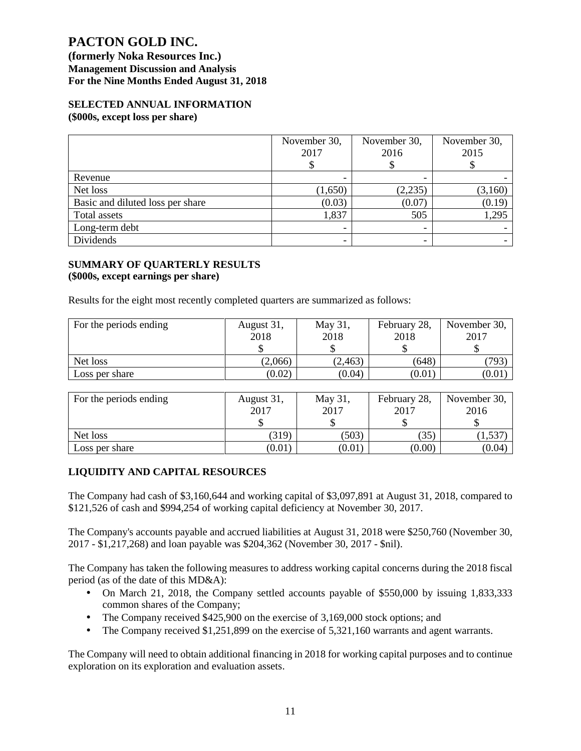**(formerly Noka Resources Inc.) Management Discussion and Analysis For the Nine Months Ended August 31, 2018**

### **SELECTED ANNUAL INFORMATION (\$000s, except loss per share)**

|                                  | November 30,<br>2017     | November 30,<br>2016 | November 30,<br>2015 |
|----------------------------------|--------------------------|----------------------|----------------------|
| Revenue                          |                          |                      |                      |
| Net loss                         | (1,650)                  | (2,235)              | (3,160)              |
| Basic and diluted loss per share | (0.03)                   | (0.07)               | (0.19)               |
| Total assets                     | 1,837                    | 505                  | 1,295                |
| Long-term debt                   |                          |                      |                      |
| Dividends                        | $\overline{\phantom{a}}$ |                      |                      |

#### **SUMMARY OF QUARTERLY RESULTS (\$000s, except earnings per share)**

Results for the eight most recently completed quarters are summarized as follows:

| For the periods ending | August 31, | May 31,  | February 28, | November 30, |
|------------------------|------------|----------|--------------|--------------|
|                        | 2018       | 2018     | 2018         | 2017         |
|                        |            | \$       |              |              |
| Net loss               | (2,066)    | (2, 463) | (648)        | (793)        |
| Loss per share         | (0.02)     | (0.04)   | (0.01)       | (0.01)       |
|                        |            |          |              |              |
| For the periods ending | August 31, | May 31,  | February 28, | November 30, |
|                        | 2017       | 2017     | 2017         | 2016         |
|                        |            | S        |              |              |
| Net loss               | (319)      | (503)    | (35)         | (1, 537)     |

## **LIQUIDITY AND CAPITAL RESOURCES**

The Company had cash of \$3,160,644 and working capital of \$3,097,891 at August 31, 2018, compared to \$121,526 of cash and \$994,254 of working capital deficiency at November 30, 2017.

Loss per share  $(0.01)$   $(0.01)$   $(0.00)$   $(0.04)$ 

The Company's accounts payable and accrued liabilities at August 31, 2018 were \$250,760 (November 30, 2017 - \$1,217,268) and loan payable was \$204,362 (November 30, 2017 - \$nil).

The Company has taken the following measures to address working capital concerns during the 2018 fiscal period (as of the date of this MD&A):

- On March 21, 2018, the Company settled accounts payable of \$550,000 by issuing 1,833,333 common shares of the Company;
- The Company received \$425,900 on the exercise of 3,169,000 stock options; and
- The Company received \$1,251,899 on the exercise of 5,321,160 warrants and agent warrants.

The Company will need to obtain additional financing in 2018 for working capital purposes and to continue exploration on its exploration and evaluation assets.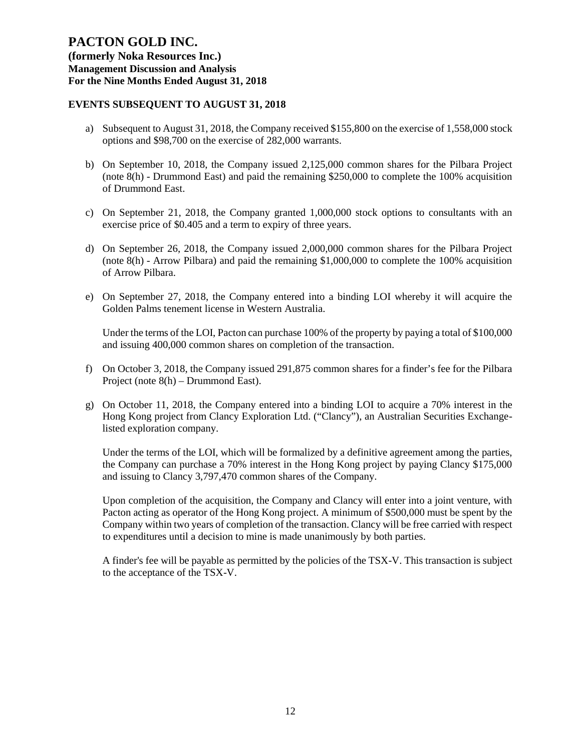**(formerly Noka Resources Inc.) Management Discussion and Analysis For the Nine Months Ended August 31, 2018**

## **EVENTS SUBSEQUENT TO AUGUST 31, 2018**

- a) Subsequent to August 31, 2018, the Company received \$155,800 on the exercise of 1,558,000 stock options and \$98,700 on the exercise of 282,000 warrants.
- b) On September 10, 2018, the Company issued 2,125,000 common shares for the Pilbara Project (note 8(h) - Drummond East) and paid the remaining \$250,000 to complete the 100% acquisition of Drummond East.
- c) On September 21, 2018, the Company granted 1,000,000 stock options to consultants with an exercise price of \$0.405 and a term to expiry of three years.
- d) On September 26, 2018, the Company issued 2,000,000 common shares for the Pilbara Project (note 8(h) - Arrow Pilbara) and paid the remaining \$1,000,000 to complete the 100% acquisition of Arrow Pilbara.
- e) On September 27, 2018, the Company entered into a binding LOI whereby it will acquire the Golden Palms tenement license in Western Australia.

Under the terms of the LOI, Pacton can purchase 100% of the property by paying a total of \$100,000 and issuing 400,000 common shares on completion of the transaction.

- f) On October 3, 2018, the Company issued 291,875 common shares for a finder's fee for the Pilbara Project (note 8(h) – Drummond East).
- g) On October 11, 2018, the Company entered into a binding LOI to acquire a 70% interest in the Hong Kong project from Clancy Exploration Ltd. ("Clancy"), an Australian Securities Exchangelisted exploration company.

Under the terms of the LOI, which will be formalized by a definitive agreement among the parties, the Company can purchase a 70% interest in the Hong Kong project by paying Clancy \$175,000 and issuing to Clancy 3,797,470 common shares of the Company.

Upon completion of the acquisition, the Company and Clancy will enter into a joint venture, with Pacton acting as operator of the Hong Kong project. A minimum of \$500,000 must be spent by the Company within two years of completion of the transaction. Clancy will be free carried with respect to expenditures until a decision to mine is made unanimously by both parties.

A finder's fee will be payable as permitted by the policies of the TSX-V. This transaction is subject to the acceptance of the TSX-V.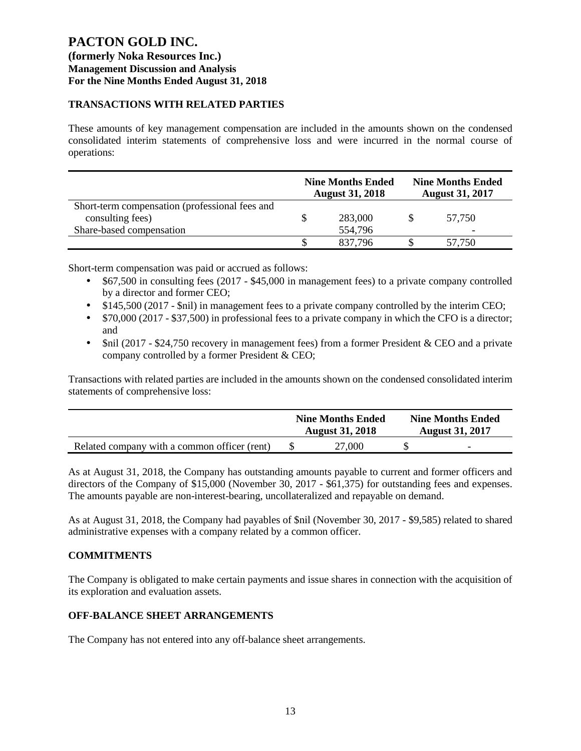# **(formerly Noka Resources Inc.) Management Discussion and Analysis For the Nine Months Ended August 31, 2018**

## **TRANSACTIONS WITH RELATED PARTIES**

These amounts of key management compensation are included in the amounts shown on the condensed consolidated interim statements of comprehensive loss and were incurred in the normal course of operations:

|                                                                    | <b>Nine Months Ended</b><br><b>Nine Months Ended</b><br><b>August 31, 2017</b><br><b>August 31, 2018</b> |         |  |        |
|--------------------------------------------------------------------|----------------------------------------------------------------------------------------------------------|---------|--|--------|
| Short-term compensation (professional fees and<br>consulting fees) |                                                                                                          | 283,000 |  | 57.750 |
| Share-based compensation                                           |                                                                                                          | 554,796 |  | -      |
|                                                                    |                                                                                                          | 837.796 |  | 57.750 |

Short-term compensation was paid or accrued as follows:

- \$67,500 in consulting fees (2017 \$45,000 in management fees) to a private company controlled by a director and former CEO;
- \$145,500 (2017 \$nil) in management fees to a private company controlled by the interim CEO;
- \$70,000 (2017 \$37,500) in professional fees to a private company in which the CFO is a director; and
- \$nil (2017 \$24,750 recovery in management fees) from a former President & CEO and a private company controlled by a former President & CEO;

Transactions with related parties are included in the amounts shown on the condensed consolidated interim statements of comprehensive loss:

|                                              | <b>Nine Months Ended</b><br><b>August 31, 2018</b> | <b>Nine Months Ended</b><br><b>August 31, 2017</b> |
|----------------------------------------------|----------------------------------------------------|----------------------------------------------------|
| Related company with a common officer (rent) | 27,000                                             | $\overline{\phantom{0}}$                           |

As at August 31, 2018, the Company has outstanding amounts payable to current and former officers and directors of the Company of \$15,000 (November 30, 2017 - \$61,375) for outstanding fees and expenses. The amounts payable are non-interest-bearing, uncollateralized and repayable on demand.

As at August 31, 2018, the Company had payables of \$nil (November 30, 2017 - \$9,585) related to shared administrative expenses with a company related by a common officer.

## **COMMITMENTS**

The Company is obligated to make certain payments and issue shares in connection with the acquisition of its exploration and evaluation assets.

## **OFF-BALANCE SHEET ARRANGEMENTS**

The Company has not entered into any off-balance sheet arrangements.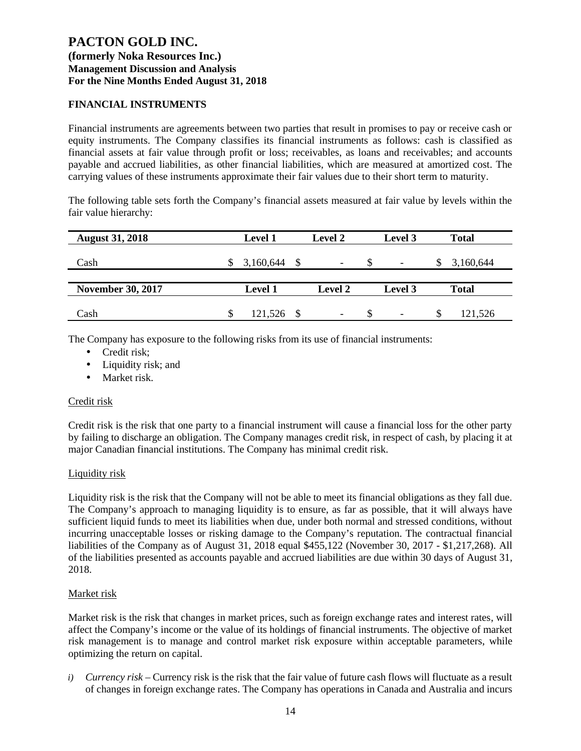## **FINANCIAL INSTRUMENTS**

Financial instruments are agreements between two parties that result in promises to pay or receive cash or equity instruments. The Company classifies its financial instruments as follows: cash is classified as financial assets at fair value through profit or loss; receivables, as loans and receivables; and accounts payable and accrued liabilities, as other financial liabilities, which are measured at amortized cost. The carrying values of these instruments approximate their fair values due to their short term to maturity.

The following table sets forth the Company's financial assets measured at fair value by levels within the fair value hierarchy:

| <b>August 31, 2018</b>   | <b>Level 1</b> |      | <b>Level 2</b> |     | Level 3                  |   | <b>Total</b> |
|--------------------------|----------------|------|----------------|-----|--------------------------|---|--------------|
| Cash                     | 3,160,644      | - \$ | ۰              |     | $\overline{\phantom{a}}$ |   | 3,160,644    |
| <b>November 30, 2017</b> | <b>Level 1</b> |      | <b>Level 2</b> |     | Level 3                  |   | <b>Total</b> |
| Cash                     | 121,526        |      | -              | \$. |                          | S | 121,526      |

The Company has exposure to the following risks from its use of financial instruments:

- Credit risk;
- Liquidity risk; and
- Market risk.

### Credit risk

Credit risk is the risk that one party to a financial instrument will cause a financial loss for the other party by failing to discharge an obligation. The Company manages credit risk, in respect of cash, by placing it at major Canadian financial institutions. The Company has minimal credit risk.

### Liquidity risk

Liquidity risk is the risk that the Company will not be able to meet its financial obligations as they fall due. The Company's approach to managing liquidity is to ensure, as far as possible, that it will always have sufficient liquid funds to meet its liabilities when due, under both normal and stressed conditions, without incurring unacceptable losses or risking damage to the Company's reputation. The contractual financial liabilities of the Company as of August 31, 2018 equal \$455,122 (November 30, 2017 - \$1,217,268). All of the liabilities presented as accounts payable and accrued liabilities are due within 30 days of August 31, 2018.

### Market risk

Market risk is the risk that changes in market prices, such as foreign exchange rates and interest rates, will affect the Company's income or the value of its holdings of financial instruments. The objective of market risk management is to manage and control market risk exposure within acceptable parameters, while optimizing the return on capital.

*i) Currency risk* – Currency risk is the risk that the fair value of future cash flows will fluctuate as a result of changes in foreign exchange rates. The Company has operations in Canada and Australia and incurs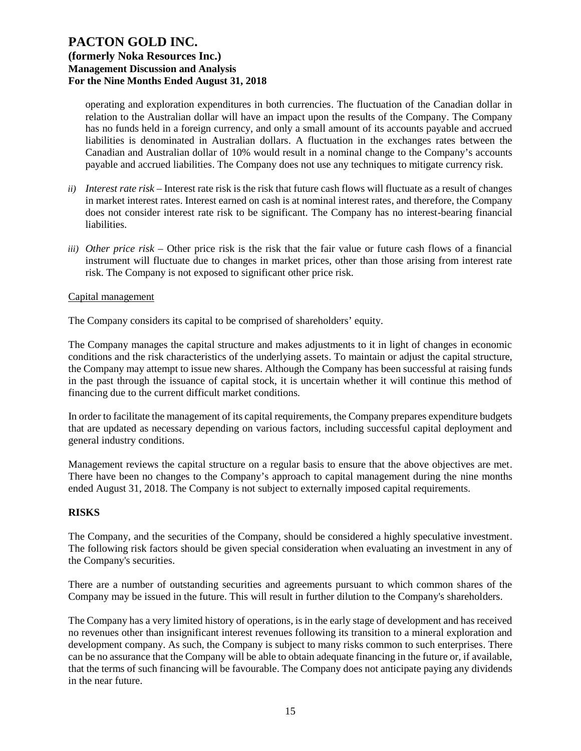operating and exploration expenditures in both currencies. The fluctuation of the Canadian dollar in relation to the Australian dollar will have an impact upon the results of the Company. The Company has no funds held in a foreign currency, and only a small amount of its accounts payable and accrued liabilities is denominated in Australian dollars. A fluctuation in the exchanges rates between the Canadian and Australian dollar of 10% would result in a nominal change to the Company's accounts payable and accrued liabilities. The Company does not use any techniques to mitigate currency risk.

- *ii) Interest rate risk –* Interest rate risk is the risk that future cash flows will fluctuate as a result of changes in market interest rates. Interest earned on cash is at nominal interest rates, and therefore, the Company does not consider interest rate risk to be significant. The Company has no interest-bearing financial liabilities.
- *iii) Other price risk –* Other price risk is the risk that the fair value or future cash flows of a financial instrument will fluctuate due to changes in market prices, other than those arising from interest rate risk. The Company is not exposed to significant other price risk.

### Capital management

The Company considers its capital to be comprised of shareholders' equity.

The Company manages the capital structure and makes adjustments to it in light of changes in economic conditions and the risk characteristics of the underlying assets. To maintain or adjust the capital structure, the Company may attempt to issue new shares. Although the Company has been successful at raising funds in the past through the issuance of capital stock, it is uncertain whether it will continue this method of financing due to the current difficult market conditions.

In order to facilitate the management of its capital requirements, the Company prepares expenditure budgets that are updated as necessary depending on various factors, including successful capital deployment and general industry conditions.

Management reviews the capital structure on a regular basis to ensure that the above objectives are met. There have been no changes to the Company's approach to capital management during the nine months ended August 31, 2018. The Company is not subject to externally imposed capital requirements.

### **RISKS**

The Company, and the securities of the Company, should be considered a highly speculative investment. The following risk factors should be given special consideration when evaluating an investment in any of the Company's securities.

There are a number of outstanding securities and agreements pursuant to which common shares of the Company may be issued in the future. This will result in further dilution to the Company's shareholders.

The Company has a very limited history of operations, is in the early stage of development and has received no revenues other than insignificant interest revenues following its transition to a mineral exploration and development company. As such, the Company is subject to many risks common to such enterprises. There can be no assurance that the Company will be able to obtain adequate financing in the future or, if available, that the terms of such financing will be favourable. The Company does not anticipate paying any dividends in the near future.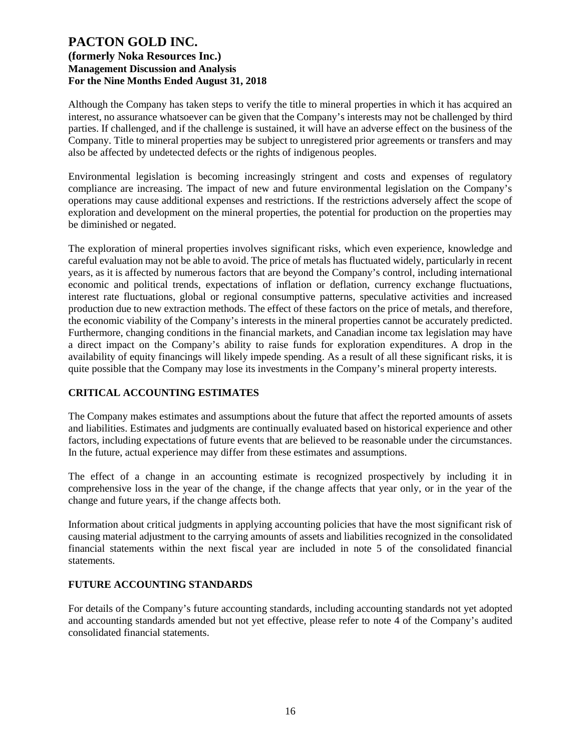Although the Company has taken steps to verify the title to mineral properties in which it has acquired an interest, no assurance whatsoever can be given that the Company's interests may not be challenged by third parties. If challenged, and if the challenge is sustained, it will have an adverse effect on the business of the Company. Title to mineral properties may be subject to unregistered prior agreements or transfers and may also be affected by undetected defects or the rights of indigenous peoples.

Environmental legislation is becoming increasingly stringent and costs and expenses of regulatory compliance are increasing. The impact of new and future environmental legislation on the Company's operations may cause additional expenses and restrictions. If the restrictions adversely affect the scope of exploration and development on the mineral properties, the potential for production on the properties may be diminished or negated.

The exploration of mineral properties involves significant risks, which even experience, knowledge and careful evaluation may not be able to avoid. The price of metals has fluctuated widely, particularly in recent years, as it is affected by numerous factors that are beyond the Company's control, including international economic and political trends, expectations of inflation or deflation, currency exchange fluctuations, interest rate fluctuations, global or regional consumptive patterns, speculative activities and increased production due to new extraction methods. The effect of these factors on the price of metals, and therefore, the economic viability of the Company's interests in the mineral properties cannot be accurately predicted. Furthermore, changing conditions in the financial markets, and Canadian income tax legislation may have a direct impact on the Company's ability to raise funds for exploration expenditures. A drop in the availability of equity financings will likely impede spending. As a result of all these significant risks, it is quite possible that the Company may lose its investments in the Company's mineral property interests.

## **CRITICAL ACCOUNTING ESTIMATES**

The Company makes estimates and assumptions about the future that affect the reported amounts of assets and liabilities. Estimates and judgments are continually evaluated based on historical experience and other factors, including expectations of future events that are believed to be reasonable under the circumstances. In the future, actual experience may differ from these estimates and assumptions.

The effect of a change in an accounting estimate is recognized prospectively by including it in comprehensive loss in the year of the change, if the change affects that year only, or in the year of the change and future years, if the change affects both.

Information about critical judgments in applying accounting policies that have the most significant risk of causing material adjustment to the carrying amounts of assets and liabilities recognized in the consolidated financial statements within the next fiscal year are included in note 5 of the consolidated financial statements.

## **FUTURE ACCOUNTING STANDARDS**

For details of the Company's future accounting standards, including accounting standards not yet adopted and accounting standards amended but not yet effective, please refer to note 4 of the Company's audited consolidated financial statements.